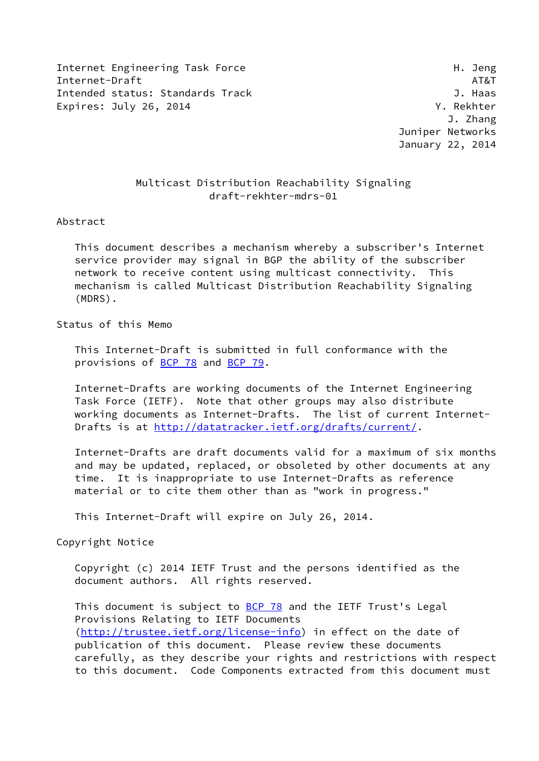Internet Engineering Task Force **H. Jeng** Internet-Draft AT&T Intended status: Standards Track J. Haas Expires: July 26, 2014 **Expires: July 26, 2014** 

 J. Zhang Juniper Networks January 22, 2014

## Multicast Distribution Reachability Signaling draft-rekhter-mdrs-01

### Abstract

 This document describes a mechanism whereby a subscriber's Internet service provider may signal in BGP the ability of the subscriber network to receive content using multicast connectivity. This mechanism is called Multicast Distribution Reachability Signaling (MDRS).

## Status of this Memo

 This Internet-Draft is submitted in full conformance with the provisions of **BCP 78** and **BCP 79**.

 Internet-Drafts are working documents of the Internet Engineering Task Force (IETF). Note that other groups may also distribute working documents as Internet-Drafts. The list of current Internet Drafts is at<http://datatracker.ietf.org/drafts/current/>.

 Internet-Drafts are draft documents valid for a maximum of six months and may be updated, replaced, or obsoleted by other documents at any time. It is inappropriate to use Internet-Drafts as reference material or to cite them other than as "work in progress."

This Internet-Draft will expire on July 26, 2014.

Copyright Notice

 Copyright (c) 2014 IETF Trust and the persons identified as the document authors. All rights reserved.

This document is subject to **[BCP 78](https://datatracker.ietf.org/doc/pdf/bcp78)** and the IETF Trust's Legal Provisions Relating to IETF Documents [\(http://trustee.ietf.org/license-info](http://trustee.ietf.org/license-info)) in effect on the date of publication of this document. Please review these documents carefully, as they describe your rights and restrictions with respect to this document. Code Components extracted from this document must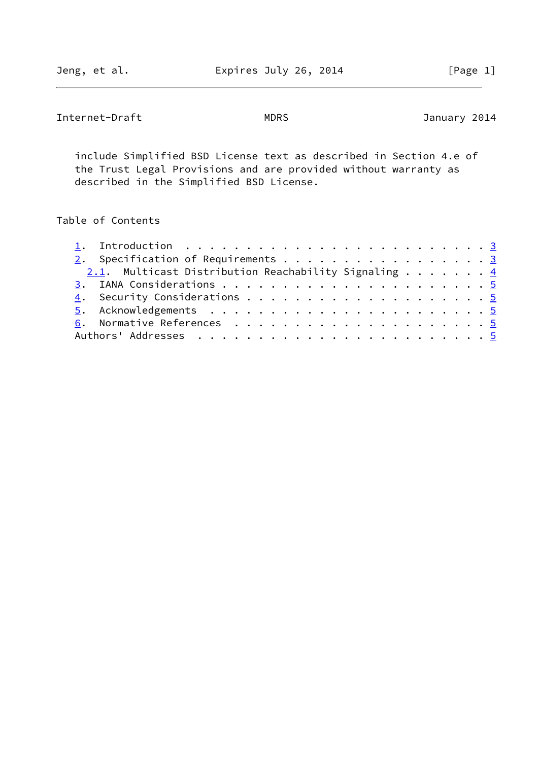Internet-Draft MDRS MORS January 2014

 include Simplified BSD License text as described in Section 4.e of the Trust Legal Provisions and are provided without warranty as described in the Simplified BSD License.

# Table of Contents

| 2. Specification of Requirements 3 |  |  |                                                                  |
|------------------------------------|--|--|------------------------------------------------------------------|
|                                    |  |  |                                                                  |
|                                    |  |  |                                                                  |
|                                    |  |  |                                                                  |
|                                    |  |  |                                                                  |
|                                    |  |  |                                                                  |
|                                    |  |  |                                                                  |
|                                    |  |  |                                                                  |
|                                    |  |  | 2.1. Multicast Distribution Reachability Signaling $\frac{4}{5}$ |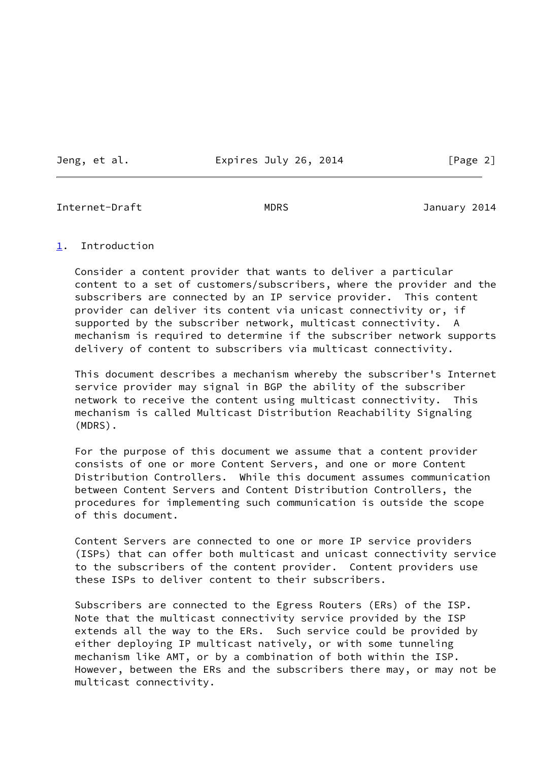Jeng, et al. **Expires July 26, 2014** [Page 2]

<span id="page-2-1"></span>Internet-Draft MDRS January 2014

### <span id="page-2-0"></span>[1](#page-2-0). Introduction

 Consider a content provider that wants to deliver a particular content to a set of customers/subscribers, where the provider and the subscribers are connected by an IP service provider. This content provider can deliver its content via unicast connectivity or, if supported by the subscriber network, multicast connectivity. A mechanism is required to determine if the subscriber network supports delivery of content to subscribers via multicast connectivity.

 This document describes a mechanism whereby the subscriber's Internet service provider may signal in BGP the ability of the subscriber network to receive the content using multicast connectivity. This mechanism is called Multicast Distribution Reachability Signaling (MDRS).

 For the purpose of this document we assume that a content provider consists of one or more Content Servers, and one or more Content Distribution Controllers. While this document assumes communication between Content Servers and Content Distribution Controllers, the procedures for implementing such communication is outside the scope of this document.

 Content Servers are connected to one or more IP service providers (ISPs) that can offer both multicast and unicast connectivity service to the subscribers of the content provider. Content providers use these ISPs to deliver content to their subscribers.

 Subscribers are connected to the Egress Routers (ERs) of the ISP. Note that the multicast connectivity service provided by the ISP extends all the way to the ERs. Such service could be provided by either deploying IP multicast natively, or with some tunneling mechanism like AMT, or by a combination of both within the ISP. However, between the ERs and the subscribers there may, or may not be multicast connectivity.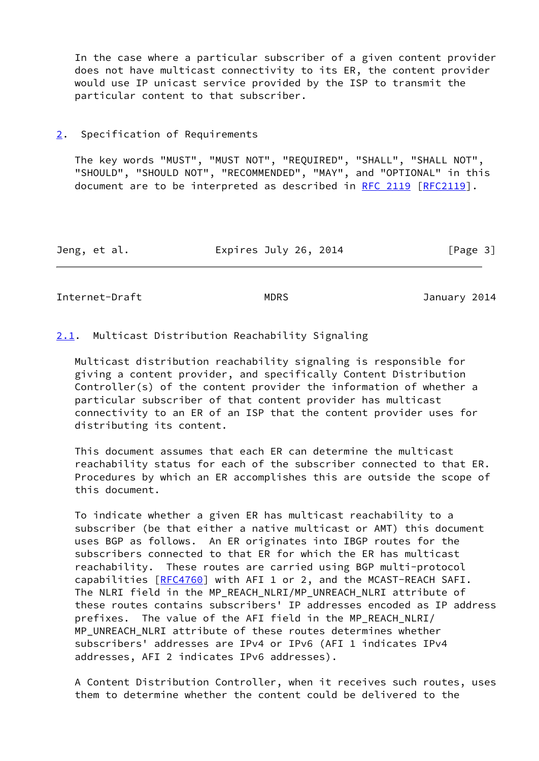In the case where a particular subscriber of a given content provider does not have multicast connectivity to its ER, the content provider would use IP unicast service provided by the ISP to transmit the particular content to that subscriber.

## <span id="page-3-0"></span>[2](#page-3-0). Specification of Requirements

 The key words "MUST", "MUST NOT", "REQUIRED", "SHALL", "SHALL NOT", "SHOULD", "SHOULD NOT", "RECOMMENDED", "MAY", and "OPTIONAL" in this document are to be interpreted as described in [RFC 2119 \[RFC2119](https://datatracker.ietf.org/doc/pdf/rfc2119)].

| Jeng, et al. | Expires July 26, 2014 | [Page 3] |
|--------------|-----------------------|----------|
|--------------|-----------------------|----------|

<span id="page-3-2"></span>Internet-Draft MDRS MORS January 2014

<span id="page-3-1"></span>[2.1](#page-3-1). Multicast Distribution Reachability Signaling

 Multicast distribution reachability signaling is responsible for giving a content provider, and specifically Content Distribution Controller(s) of the content provider the information of whether a particular subscriber of that content provider has multicast connectivity to an ER of an ISP that the content provider uses for distributing its content.

 This document assumes that each ER can determine the multicast reachability status for each of the subscriber connected to that ER. Procedures by which an ER accomplishes this are outside the scope of this document.

 To indicate whether a given ER has multicast reachability to a subscriber (be that either a native multicast or AMT) this document uses BGP as follows. An ER originates into IBGP routes for the subscribers connected to that ER for which the ER has multicast reachability. These routes are carried using BGP multi-protocol capabilities [\[RFC4760](https://datatracker.ietf.org/doc/pdf/rfc4760)] with AFI 1 or 2, and the MCAST-REACH SAFI. The NLRI field in the MP\_REACH\_NLRI/MP\_UNREACH\_NLRI attribute of these routes contains subscribers' IP addresses encoded as IP address prefixes. The value of the AFI field in the MP\_REACH\_NLRI/ MP\_UNREACH\_NLRI attribute of these routes determines whether subscribers' addresses are IPv4 or IPv6 (AFI 1 indicates IPv4 addresses, AFI 2 indicates IPv6 addresses).

 A Content Distribution Controller, when it receives such routes, uses them to determine whether the content could be delivered to the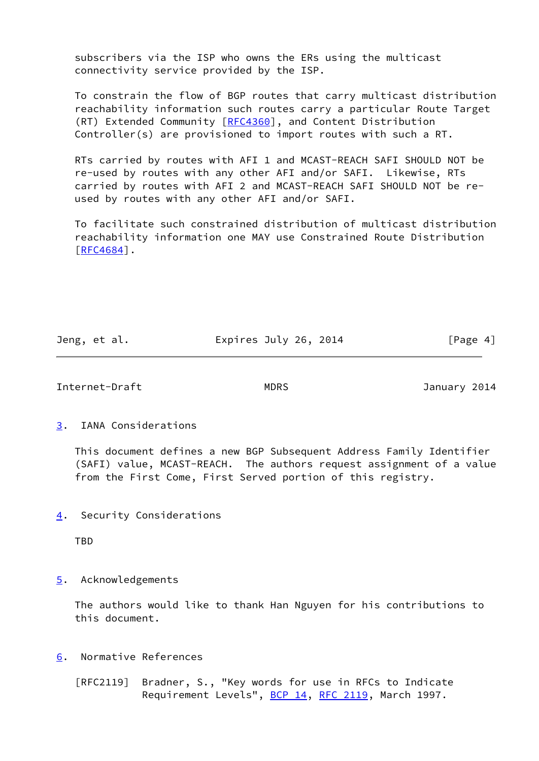subscribers via the ISP who owns the ERs using the multicast connectivity service provided by the ISP.

 To constrain the flow of BGP routes that carry multicast distribution reachability information such routes carry a particular Route Target (RT) Extended Community [\[RFC4360](https://datatracker.ietf.org/doc/pdf/rfc4360)], and Content Distribution Controller(s) are provisioned to import routes with such a RT.

 RTs carried by routes with AFI 1 and MCAST-REACH SAFI SHOULD NOT be re-used by routes with any other AFI and/or SAFI. Likewise, RTs carried by routes with AFI 2 and MCAST-REACH SAFI SHOULD NOT be re used by routes with any other AFI and/or SAFI.

 To facilitate such constrained distribution of multicast distribution reachability information one MAY use Constrained Route Distribution [\[RFC4684](https://datatracker.ietf.org/doc/pdf/rfc4684)].

| Jeng, et al. | Expires July 26, 2014 | [Page 4] |
|--------------|-----------------------|----------|
|              |                       |          |

<span id="page-4-1"></span>Internet-Draft MDRS January 2014

<span id="page-4-0"></span>[3](#page-4-0). IANA Considerations

 This document defines a new BGP Subsequent Address Family Identifier (SAFI) value, MCAST-REACH. The authors request assignment of a value from the First Come, First Served portion of this registry.

<span id="page-4-2"></span>[4](#page-4-2). Security Considerations

TBD

<span id="page-4-3"></span>[5](#page-4-3). Acknowledgements

 The authors would like to thank Han Nguyen for his contributions to this document.

- <span id="page-4-4"></span>[6](#page-4-4). Normative References
	- [RFC2119] Bradner, S., "Key words for use in RFCs to Indicate Requirement Levels", [BCP 14](https://datatracker.ietf.org/doc/pdf/bcp14), [RFC 2119](https://datatracker.ietf.org/doc/pdf/rfc2119), March 1997.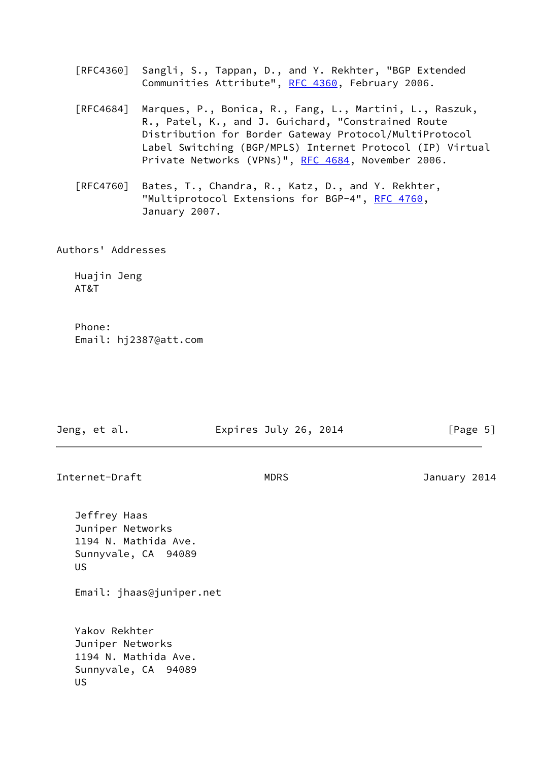[RFC4360] Sangli, S., Tappan, D., and Y. Rekhter, "BGP Extended Communities Attribute", [RFC 4360,](https://datatracker.ietf.org/doc/pdf/rfc4360) February 2006.

- [RFC4684] Marques, P., Bonica, R., Fang, L., Martini, L., Raszuk, R., Patel, K., and J. Guichard, "Constrained Route Distribution for Border Gateway Protocol/MultiProtocol Label Switching (BGP/MPLS) Internet Protocol (IP) Virtual Private Networks (VPNs)", [RFC 4684](https://datatracker.ietf.org/doc/pdf/rfc4684), November 2006.
- [RFC4760] Bates, T., Chandra, R., Katz, D., and Y. Rekhter, "Multiprotocol Extensions for BGP-4", [RFC 4760](https://datatracker.ietf.org/doc/pdf/rfc4760), January 2007.

Authors' Addresses

 Huajin Jeng AT&T

 Phone: Email: hj2387@att.com

| Jeng, et al.                                                                          | Expires July 26, 2014 | [Page 5]     |
|---------------------------------------------------------------------------------------|-----------------------|--------------|
| Internet-Draft                                                                        | <b>MDRS</b>           | January 2014 |
| Jeffrey Haas<br>Juniper Networks<br>1194 N. Mathida Ave.<br>Sunnyvale, CA 94089<br>US |                       |              |
| Email: jhaas@juniper.net                                                              |                       |              |

 Yakov Rekhter Juniper Networks 1194 N. Mathida Ave. Sunnyvale, CA 94089 US